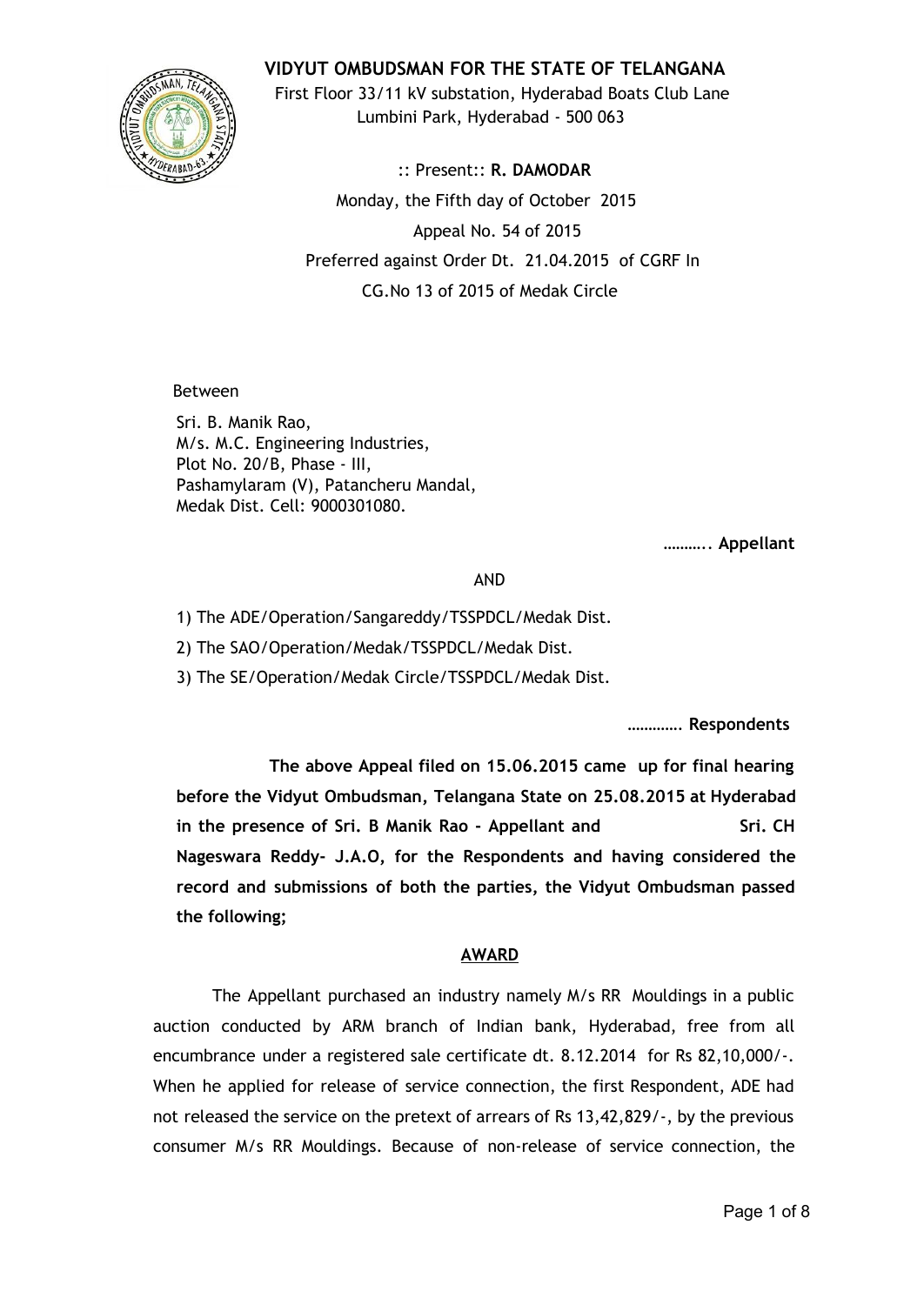

**VIDYUT OMBUDSMAN FOR THE STATE OF TELANGANA**

First Floor 33/11 kV substation, Hyderabad Boats Club Lane Lumbini Park, Hyderabad - 500 063

:: Present:: **R. DAMODAR** Monday, the Fifth day of October 2015 Appeal No. 54 of 2015 Preferred against Order Dt. 21.04.2015 of CGRF In CG.No 13 of 2015 of Medak Circle

Between

Sri. B. Manik Rao, M/s. M.C. Engineering Industries, Plot No. 20/B, Phase - III, Pashamylaram (V), Patancheru Mandal, Medak Dist. Cell: 9000301080.

……….. **Appellant**

AND

1) The ADE/Operation/Sangareddy/TSSPDCL/Medak Dist.

2) The SAO/Operation/Medak/TSSPDCL/Medak Dist.

3) The SE/Operation/Medak Circle/TSSPDCL/Medak Dist.

…………. **Respondents**

**The above Appeal filed on 15.06.2015 came up for final hearing before the Vidyut Ombudsman, Telangana State on 25.08.2015 at Hyderabad in the presence of Sri. B Manik Rao - Appellant and Sri. CH Nageswara Reddy- J.A.O, for the Respondents and having considered the record and submissions of both the parties, the Vidyut Ombudsman passed the following;**

## **AWARD**

The Appellant purchased an industry namely M/s RR Mouldings in a public auction conducted by ARM branch of Indian bank, Hyderabad, free from all encumbrance under a registered sale certificate dt. 8.12.2014 for Rs 82,10,000/-. When he applied for release of service connection, the first Respondent, ADE had not released the service on the pretext of arrears of Rs 13,42,829/-, by the previous consumer M/s RR Mouldings. Because of non-release of service connection, the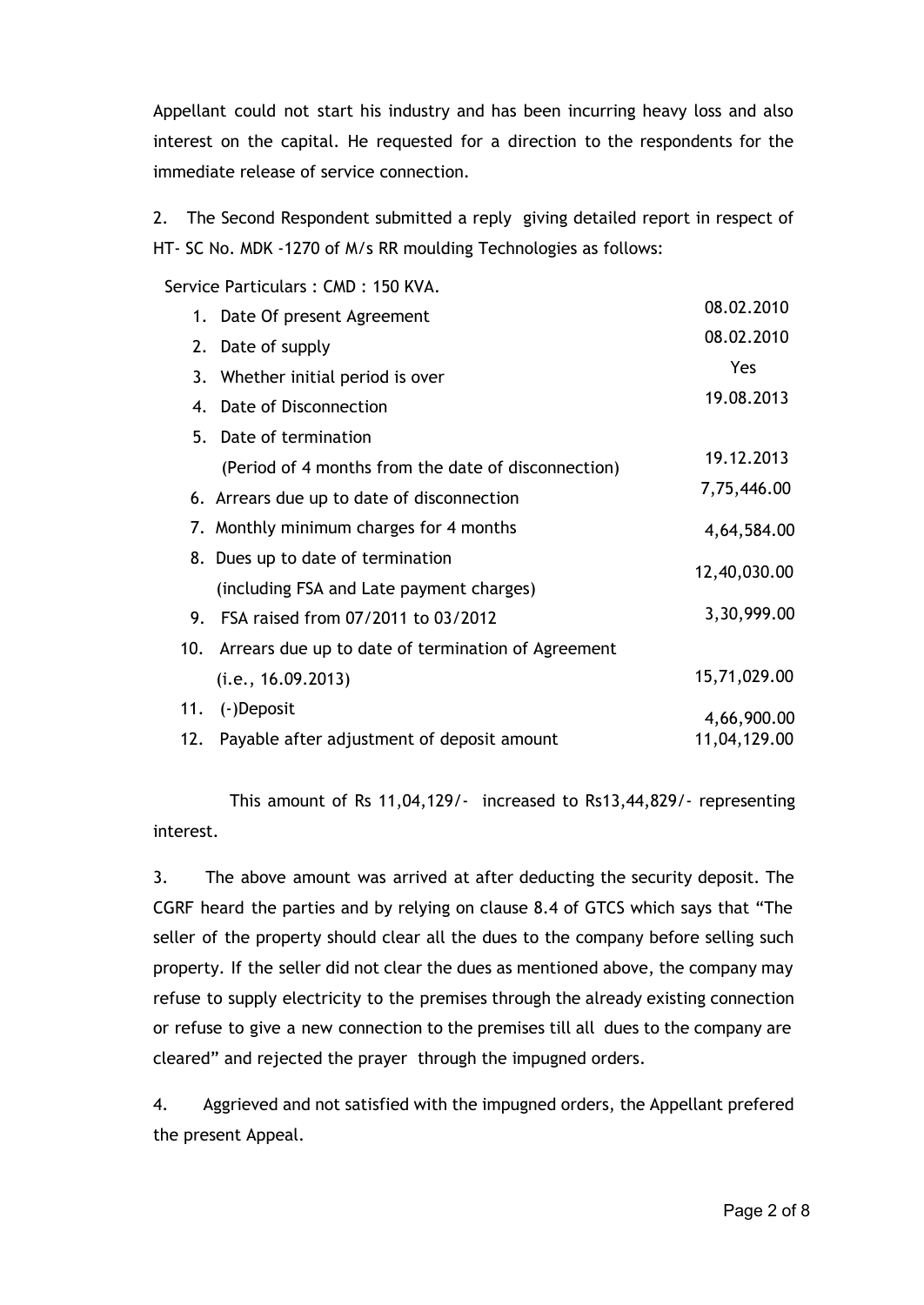Appellant could not start his industry and has been incurring heavy loss and also interest on the capital. He requested for a direction to the respondents for the immediate release of service connection.

2. The Second Respondent submitted a reply giving detailed report in respect of HT- SC No. MDK -1270 of M/s RR moulding Technologies as follows:

Service Particulars : CMD : 150 KVA.

|     | 1. Date Of present Agreement                        | 08.02.2010   |
|-----|-----------------------------------------------------|--------------|
|     | 2. Date of supply                                   | 08.02.2010   |
|     | 3. Whether initial period is over                   | Yes          |
|     | 4. Date of Disconnection                            | 19.08.2013   |
| 5.  | Date of termination                                 |              |
|     | (Period of 4 months from the date of disconnection) | 19.12.2013   |
|     | 6. Arrears due up to date of disconnection          | 7,75,446.00  |
|     | 7. Monthly minimum charges for 4 months             | 4,64,584.00  |
|     | 8. Dues up to date of termination                   |              |
|     | (including FSA and Late payment charges)            | 12,40,030.00 |
|     | 9. FSA raised from 07/2011 to 03/2012               | 3,30,999.00  |
| 10. | Arrears due up to date of termination of Agreement  |              |
|     | (i.e., 16.09.2013)                                  | 15,71,029.00 |
| 11. | (-)Deposit                                          | 4,66,900.00  |
|     | 12. Payable after adjustment of deposit amount      | 11,04,129.00 |

This amount of Rs 11,04,129/- increased to Rs13,44,829/- representing interest.

3. The above amount was arrived at after deducting the security deposit. The CGRF heard the parties and by relying on clause 8.4 of GTCS which says that "The seller of the property should clear all the dues to the company before selling such property. If the seller did not clear the dues as mentioned above, the company may refuse to supply electricity to the premises through the already existing connection or refuse to give a new connection to the premises till all dues to the company are cleared" and rejected the prayer through the impugned orders.

4. Aggrieved and not satisfied with the impugned orders, the Appellant prefered the present Appeal.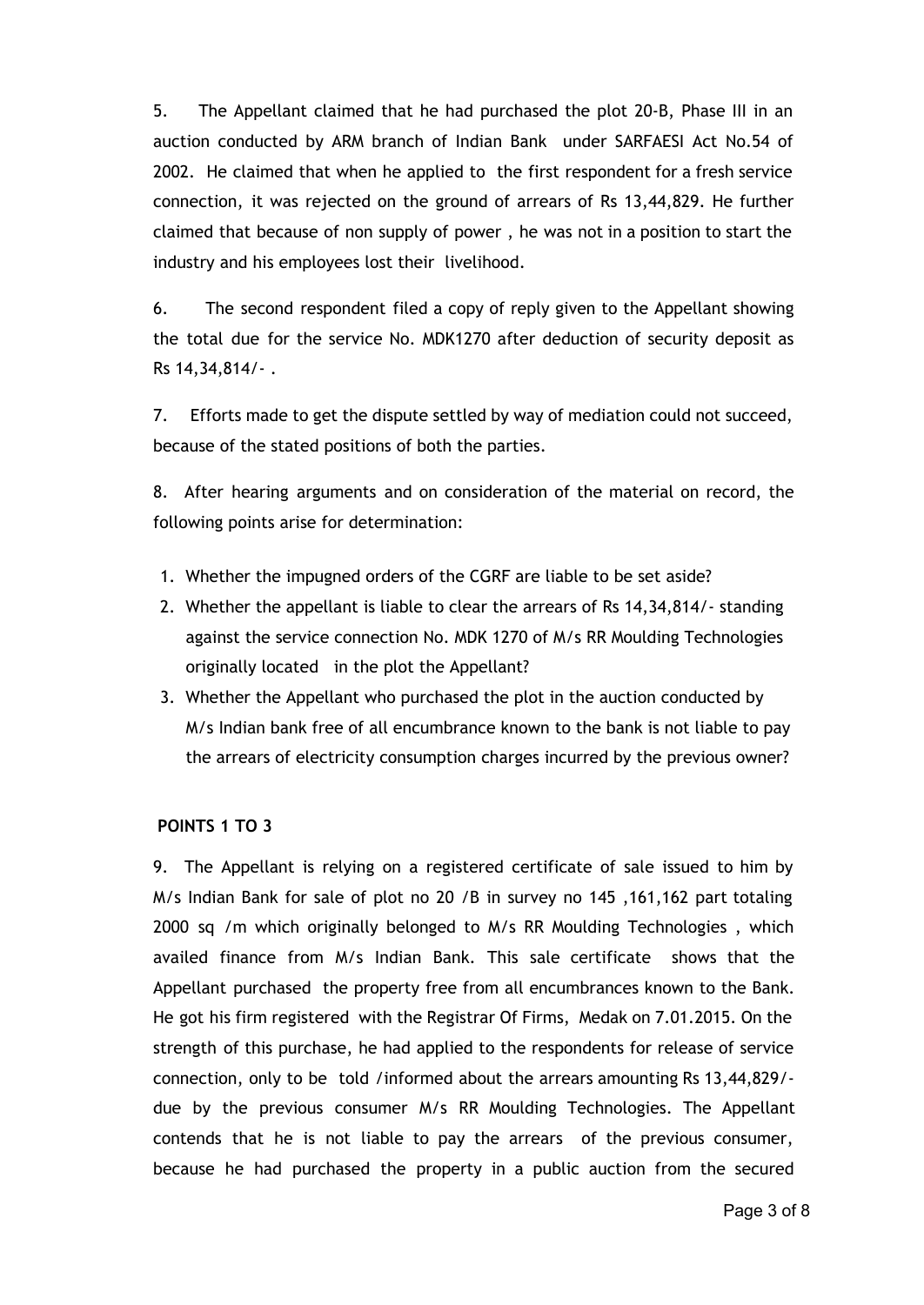5. The Appellant claimed that he had purchased the plot 20-B, Phase III in an auction conducted by ARM branch of Indian Bank under SARFAESI Act No.54 of 2002. He claimed that when he applied to the first respondent for a fresh service connection, it was rejected on the ground of arrears of Rs 13,44,829. He further claimed that because of non supply of power , he was not in a position to start the industry and his employees lost their livelihood.

6. The second respondent filed a copy of reply given to the Appellant showing the total due for the service No. MDK1270 after deduction of security deposit as Rs 14,34,814/- .

7. Efforts made to get the dispute settled by way of mediation could not succeed, because of the stated positions of both the parties.

8. After hearing arguments and on consideration of the material on record, the following points arise for determination:

- 1. Whether the impugned orders of the CGRF are liable to be set aside?
- 2. Whether the appellant is liable to clear the arrears of Rs 14,34,814/- standing against the service connection No. MDK 1270 of M/s RR Moulding Technologies originally located in the plot the Appellant?
- 3. Whether the Appellant who purchased the plot in the auction conducted by M/s Indian bank free of all encumbrance known to the bank is not liable to pay the arrears of electricity consumption charges incurred by the previous owner?

## **POINTS 1 TO 3**

9. The Appellant is relying on a registered certificate of sale issued to him by M/s Indian Bank for sale of plot no 20 /B in survey no 145 ,161,162 part totaling 2000 sq /m which originally belonged to M/s RR Moulding Technologies , which availed finance from M/s Indian Bank. This sale certificate shows that the Appellant purchased the property free from all encumbrances known to the Bank. He got his firm registered with the Registrar Of Firms, Medak on 7.01.2015. On the strength of this purchase, he had applied to the respondents for release of service connection, only to be told /informed about the arrears amounting Rs 13,44,829/ due by the previous consumer M/s RR Moulding Technologies. The Appellant contends that he is not liable to pay the arrears of the previous consumer, because he had purchased the property in a public auction from the secured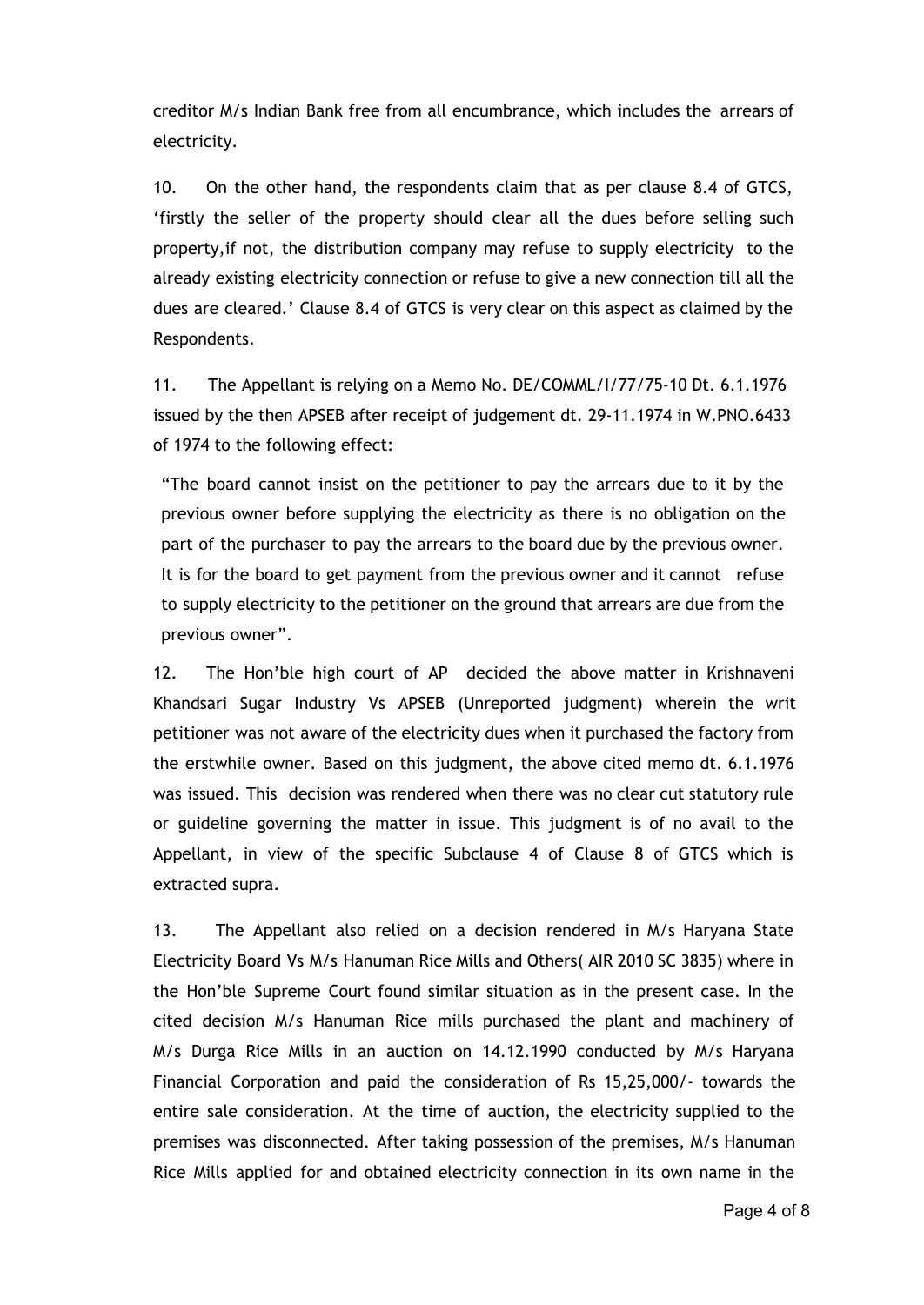creditor M/s Indian Bank free from all encumbrance, which includes the arrears of electricity.

10. On the other hand, the respondents claim that as per clause 8.4 of GTCS, 'firstly the seller of the property should clear all the dues before selling such property,if not, the distribution company may refuse to supply electricity to the already existing electricity connection or refuse to give a new connection till all the dues are cleared.' Clause 8.4 of GTCS is very clear on this aspect as claimed by the Respondents.

11. The Appellant is relying on a Memo No. DE/COMML/I/77/75-10 Dt. 6.1.1976 issued by the then APSEB after receipt of judgement dt. 29-11.1974 in W.PNO.6433 of 1974 to the following effect:

"The board cannot insist on the petitioner to pay the arrears due to it by the previous owner before supplying the electricity as there is no obligation on the part of the purchaser to pay the arrears to the board due by the previous owner. It is for the board to get payment from the previous owner and it cannot refuse to supply electricity to the petitioner on the ground that arrears are due from the previous owner".

12. The Hon'ble high court of AP decided the above matter in Krishnaveni Khandsari Sugar Industry Vs APSEB (Unreported judgment) wherein the writ petitioner was not aware of the electricity dues when it purchased the factory from the erstwhile owner. Based on this judgment, the above cited memo dt. 6.1.1976 was issued. This decision was rendered when there was no clear cut statutory rule or guideline governing the matter in issue. This judgment is of no avail to the Appellant, in view of the specific Subclause 4 of Clause 8 of GTCS which is extracted supra.

13. The Appellant also relied on a decision rendered in M/s Haryana State Electricity Board Vs M/s Hanuman Rice Mills and Others( AIR 2010 SC 3835) where in the Hon'ble Supreme Court found similar situation as in the present case. In the cited decision M/s Hanuman Rice mills purchased the plant and machinery of M/s Durga Rice Mills in an auction on 14.12.1990 conducted by M/s Haryana Financial Corporation and paid the consideration of Rs 15,25,000/- towards the entire sale consideration. At the time of auction, the electricity supplied to the premises was disconnected. After taking possession of the premises, M/s Hanuman Rice Mills applied for and obtained electricity connection in its own name in the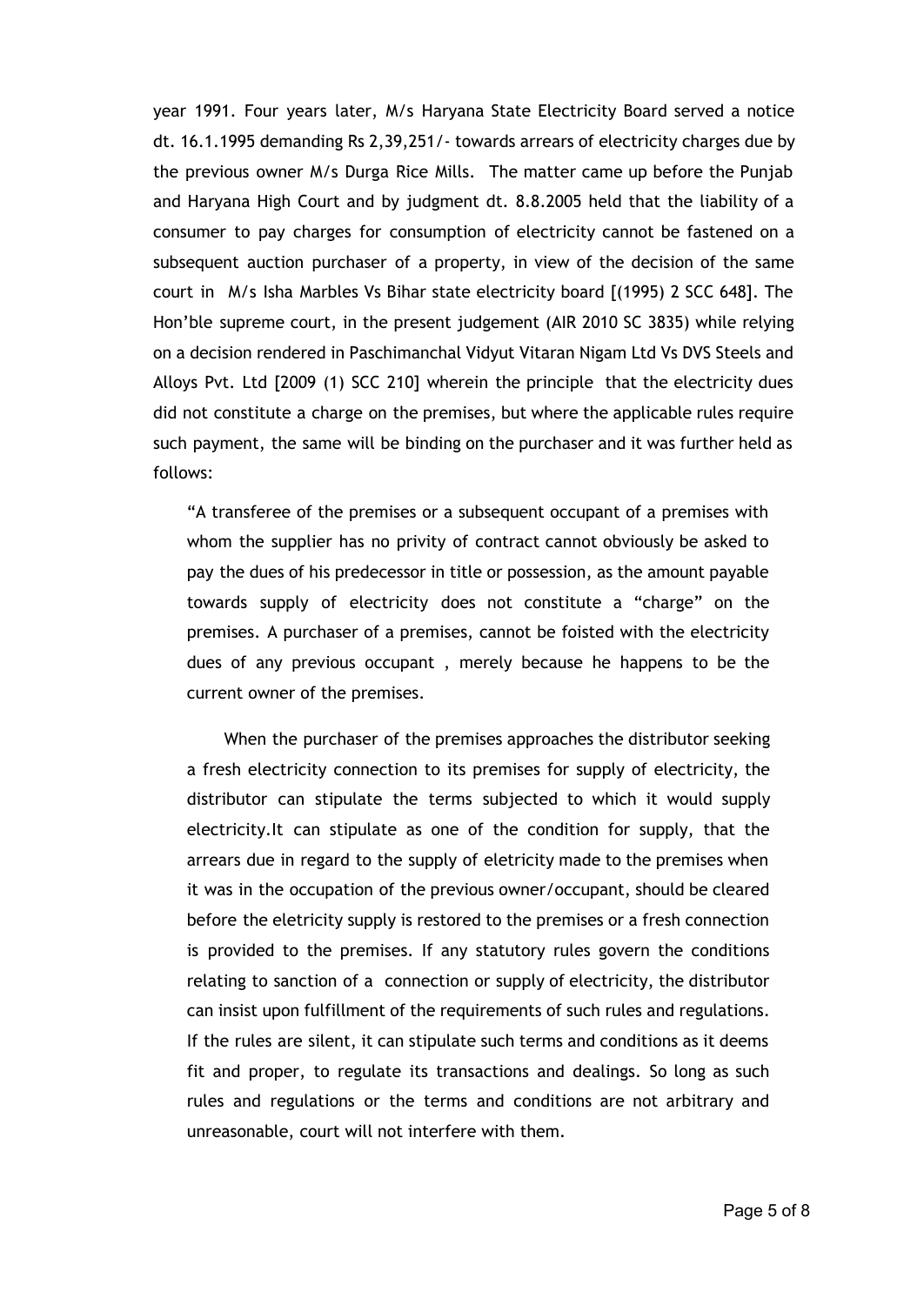year 1991. Four years later, M/s Haryana State Electricity Board served a notice dt. 16.1.1995 demanding Rs 2,39,251/- towards arrears of electricity charges due by the previous owner M/s Durga Rice Mills. The matter came up before the Punjab and Haryana High Court and by judgment dt. 8.8.2005 held that the liability of a consumer to pay charges for consumption of electricity cannot be fastened on a subsequent auction purchaser of a property, in view of the decision of the same court in M/s Isha Marbles Vs Bihar state electricity board [(1995) 2 SCC 648]. The Hon'ble supreme court, in the present judgement (AIR 2010 SC 3835) while relying on a decision rendered in Paschimanchal Vidyut Vitaran Nigam Ltd Vs DVS Steels and Alloys Pvt. Ltd [2009 (1) SCC 210] wherein the principle that the electricity dues did not constitute a charge on the premises, but where the applicable rules require such payment, the same will be binding on the purchaser and it was further held as follows:

"A transferee of the premises or a subsequent occupant of a premises with whom the supplier has no privity of contract cannot obviously be asked to pay the dues of his predecessor in title or possession, as the amount payable towards supply of electricity does not constitute a "charge" on the premises. A purchaser of a premises, cannot be foisted with the electricity dues of any previous occupant , merely because he happens to be the current owner of the premises.

When the purchaser of the premises approaches the distributor seeking a fresh electricity connection to its premises for supply of electricity, the distributor can stipulate the terms subjected to which it would supply electricity.It can stipulate as one of the condition for supply, that the arrears due in regard to the supply of eletricity made to the premises when it was in the occupation of the previous owner/occupant, should be cleared before the eletricity supply is restored to the premises or a fresh connection is provided to the premises. If any statutory rules govern the conditions relating to sanction of a connection or supply of electricity, the distributor can insist upon fulfillment of the requirements of such rules and regulations. If the rules are silent, it can stipulate such terms and conditions as it deems fit and proper, to regulate its transactions and dealings. So long as such rules and regulations or the terms and conditions are not arbitrary and unreasonable, court will not interfere with them.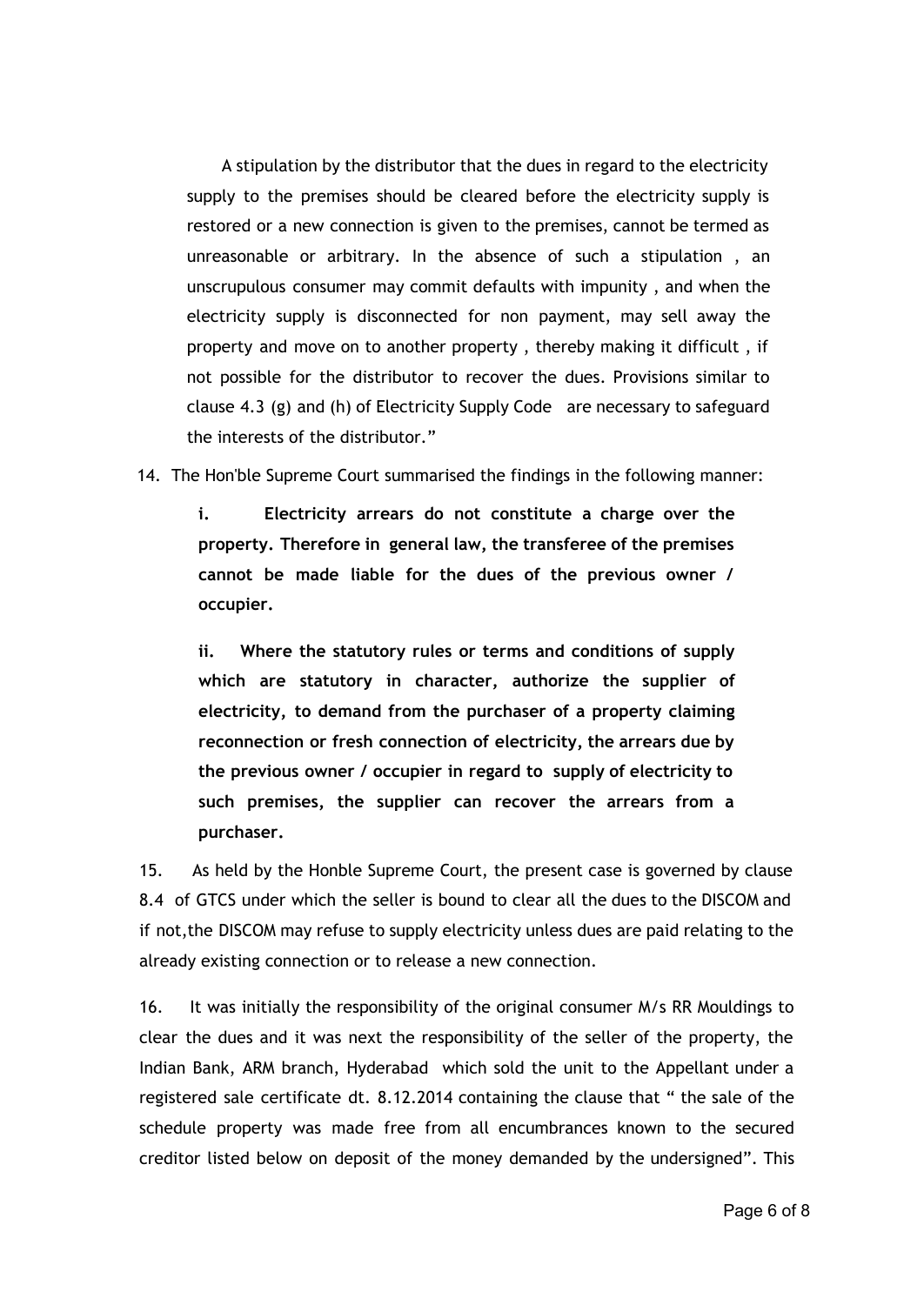A stipulation by the distributor that the dues in regard to the electricity supply to the premises should be cleared before the electricity supply is restored or a new connection is given to the premises, cannot be termed as unreasonable or arbitrary. In the absence of such a stipulation , an unscrupulous consumer may commit defaults with impunity , and when the electricity supply is disconnected for non payment, may sell away the property and move on to another property , thereby making it difficult , if not possible for the distributor to recover the dues. Provisions similar to clause 4.3 (g) and (h) of Electricity Supply Code are necessary to safeguard the interests of the distributor."

14. The Hon'ble Supreme Court summarised the findings in the following manner:

**i. Electricity arrears do not constitute a charge over the property. Therefore in general law, the transferee of the premises cannot be made liable for the dues of the previous owner / occupier.**

**ii. Where the statutory rules or terms and conditions of supply which are statutory in character, authorize the supplier of electricity, to demand from the purchaser of a property claiming reconnection or fresh connection of electricity, the arrears due by the previous owner / occupier in regard to supply of electricity to such premises, the supplier can recover the arrears from a purchaser.**

15. As held by the Honble Supreme Court, the present case is governed by clause 8.4 of GTCS under which the seller is bound to clear all the dues to the DISCOM and if not,the DISCOM may refuse to supply electricity unless dues are paid relating to the already existing connection or to release a new connection.

16. It was initially the responsibility of the original consumer M/s RR Mouldings to clear the dues and it was next the responsibility of the seller of the property, the Indian Bank, ARM branch, Hyderabad which sold the unit to the Appellant under a registered sale certificate dt. 8.12.2014 containing the clause that " the sale of the schedule property was made free from all encumbrances known to the secured creditor listed below on deposit of the money demanded by the undersigned". This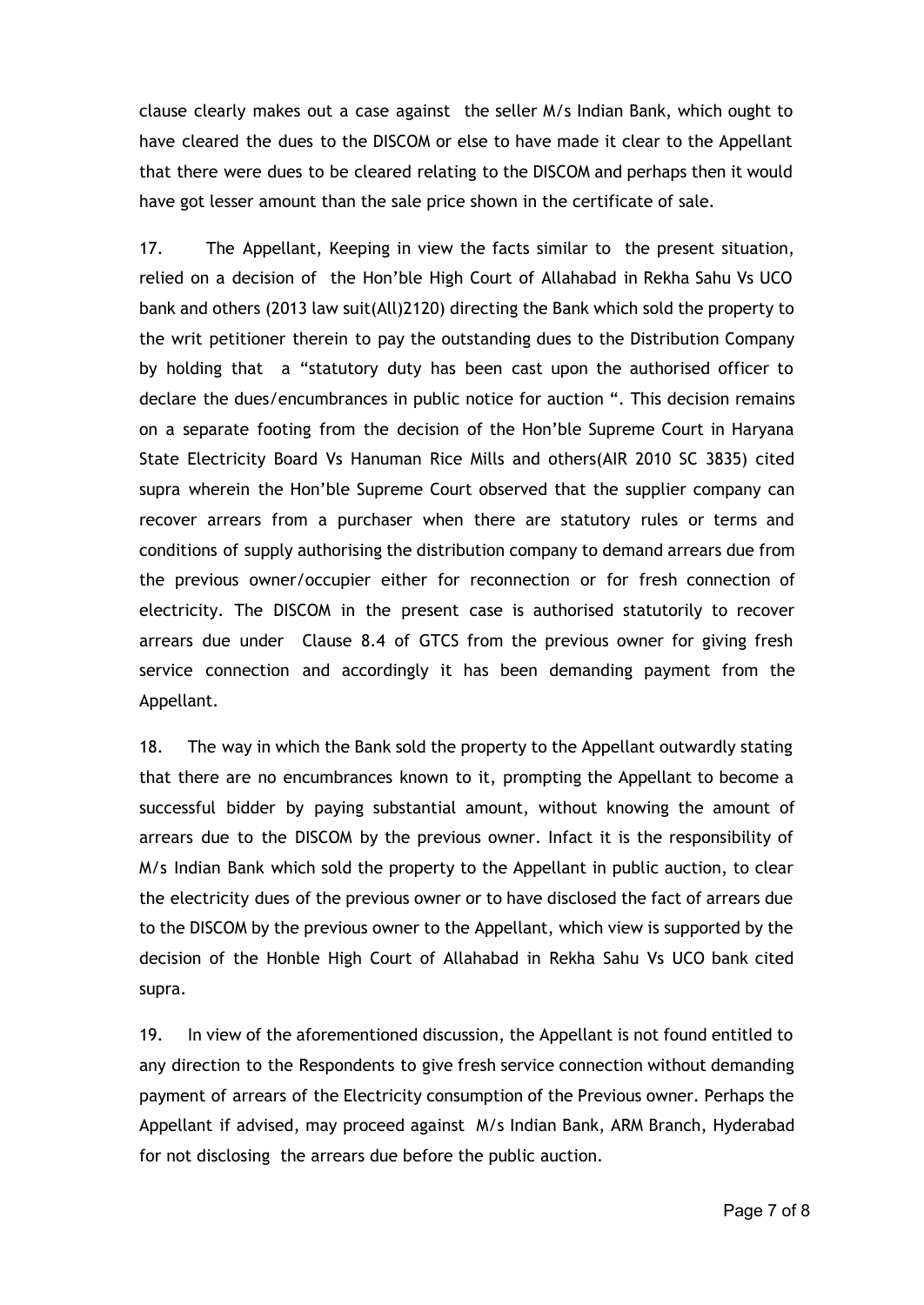clause clearly makes out a case against the seller M/s Indian Bank, which ought to have cleared the dues to the DISCOM or else to have made it clear to the Appellant that there were dues to be cleared relating to the DISCOM and perhaps then it would have got lesser amount than the sale price shown in the certificate of sale.

17. The Appellant, Keeping in view the facts similar to the present situation, relied on a decision of the Hon'ble High Court of Allahabad in Rekha Sahu Vs UCO bank and others (2013 law suit(All)2120) directing the Bank which sold the property to the writ petitioner therein to pay the outstanding dues to the Distribution Company by holding that a "statutory duty has been cast upon the authorised officer to declare the dues/encumbrances in public notice for auction ". This decision remains on a separate footing from the decision of the Hon'ble Supreme Court in Haryana State Electricity Board Vs Hanuman Rice Mills and others(AIR 2010 SC 3835) cited supra wherein the Hon'ble Supreme Court observed that the supplier company can recover arrears from a purchaser when there are statutory rules or terms and conditions of supply authorising the distribution company to demand arrears due from the previous owner/occupier either for reconnection or for fresh connection of electricity. The DISCOM in the present case is authorised statutorily to recover arrears due under Clause 8.4 of GTCS from the previous owner for giving fresh service connection and accordingly it has been demanding payment from the Appellant.

18. The way in which the Bank sold the property to the Appellant outwardly stating that there are no encumbrances known to it, prompting the Appellant to become a successful bidder by paying substantial amount, without knowing the amount of arrears due to the DISCOM by the previous owner. Infact it is the responsibility of M/s Indian Bank which sold the property to the Appellant in public auction, to clear the electricity dues of the previous owner or to have disclosed the fact of arrears due to the DISCOM by the previous owner to the Appellant, which view is supported by the decision of the Honble High Court of Allahabad in Rekha Sahu Vs UCO bank cited supra.

19. In view of the aforementioned discussion, the Appellant is not found entitled to any direction to the Respondents to give fresh service connection without demanding payment of arrears of the Electricity consumption of the Previous owner. Perhaps the Appellant if advised, may proceed against M/s Indian Bank, ARM Branch, Hyderabad for not disclosing the arrears due before the public auction.